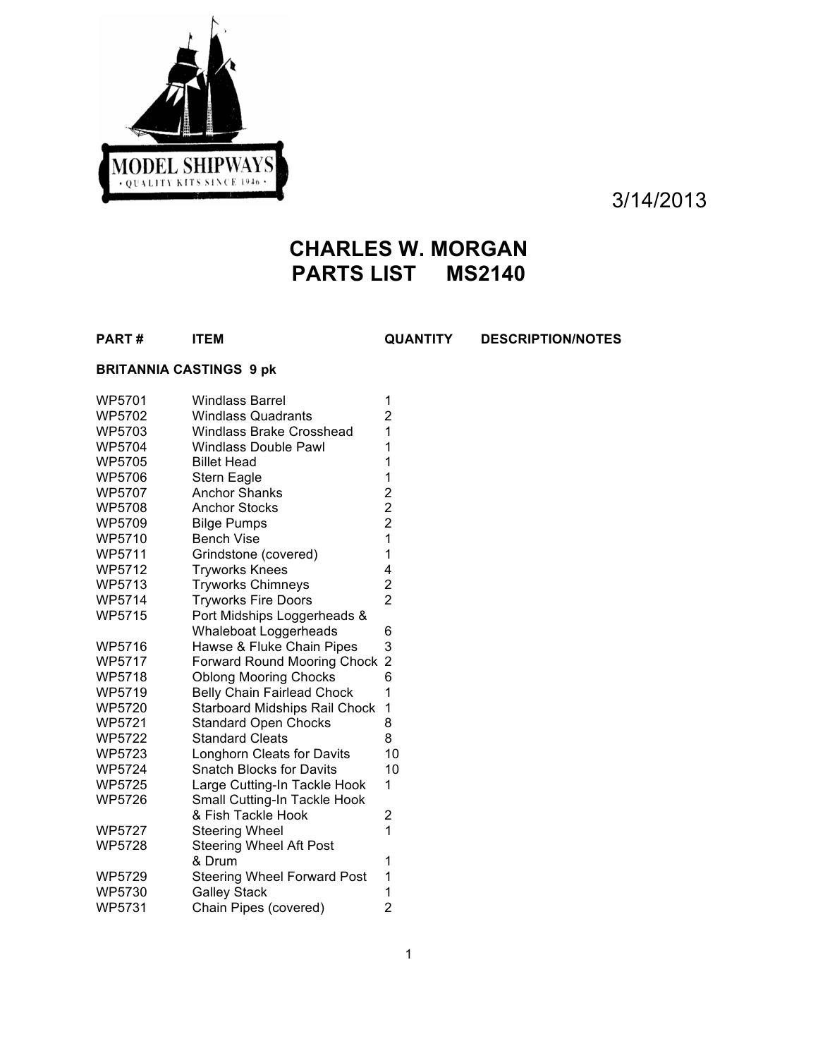

3/14/2013

# **CHARLES W. MORGAN PARTS LIST MS2140**

**PART # ITEM QUANTITY DESCRIPTION/NOTES**

## **BRITANNIA CASTINGS 9 pk**

| WP5701        | <b>Windlass Barrel</b>               | 1                                                 |
|---------------|--------------------------------------|---------------------------------------------------|
| WP5702        | <b>Windlass Quadrants</b>            | $\overline{\mathbf{c}}$                           |
| WP5703        | <b>Windlass Brake Crosshead</b>      | $\overline{1}$                                    |
| <b>WP5704</b> | <b>Windlass Double Pawl</b>          | 1                                                 |
| <b>WP5705</b> | <b>Billet Head</b>                   | 1                                                 |
| <b>WP5706</b> | Stern Eagle                          | 1                                                 |
| WP5707        | <b>Anchor Shanks</b>                 |                                                   |
| <b>WP5708</b> | <b>Anchor Stocks</b>                 | $\begin{array}{c}\n2 \\ 2 \\ 2 \\ 1\n\end{array}$ |
| WP5709        | <b>Bilge Pumps</b>                   |                                                   |
| <b>WP5710</b> | <b>Bench Vise</b>                    |                                                   |
| <b>WP5711</b> | Grindstone (covered)                 | $\mathbf{1}$                                      |
| WP5712        | <b>Tryworks Knees</b>                | 4                                                 |
| <b>WP5713</b> | <b>Tryworks Chimneys</b>             | $\frac{2}{2}$                                     |
| <b>WP5714</b> | <b>Tryworks Fire Doors</b>           |                                                   |
| <b>WP5715</b> | Port Midships Loggerheads &          |                                                   |
|               | Whaleboat Loggerheads                | 6                                                 |
| WP5716        | Hawse & Fluke Chain Pipes            | 3                                                 |
| <b>WP5717</b> | <b>Forward Round Mooring Chock</b>   | $\overline{c}$                                    |
| WP5718        | <b>Oblong Mooring Chocks</b>         | 6                                                 |
| WP5719        | <b>Belly Chain Fairlead Chock</b>    | 1                                                 |
| <b>WP5720</b> | <b>Starboard Midships Rail Chock</b> | 1                                                 |
| <b>WP5721</b> | <b>Standard Open Chocks</b>          | 8                                                 |
| <b>WP5722</b> | <b>Standard Cleats</b>               | 8                                                 |
| <b>WP5723</b> | Longhorn Cleats for Davits           | 10                                                |
| <b>WP5724</b> | <b>Snatch Blocks for Davits</b>      | 10                                                |
| <b>WP5725</b> | Large Cutting-In Tackle Hook         | 1                                                 |
| WP5726        | Small Cutting-In Tackle Hook         |                                                   |
|               | & Fish Tackle Hook                   | 2                                                 |
| <b>WP5727</b> | <b>Steering Wheel</b>                | $\overline{1}$                                    |
| WP5728        | <b>Steering Wheel Aft Post</b>       |                                                   |
|               | & Drum                               | 1                                                 |
| <b>WP5729</b> | <b>Steering Wheel Forward Post</b>   | 1                                                 |
| <b>WP5730</b> | <b>Galley Stack</b>                  | 1                                                 |
| <b>WP5731</b> | Chain Pipes (covered)                | $\overline{c}$                                    |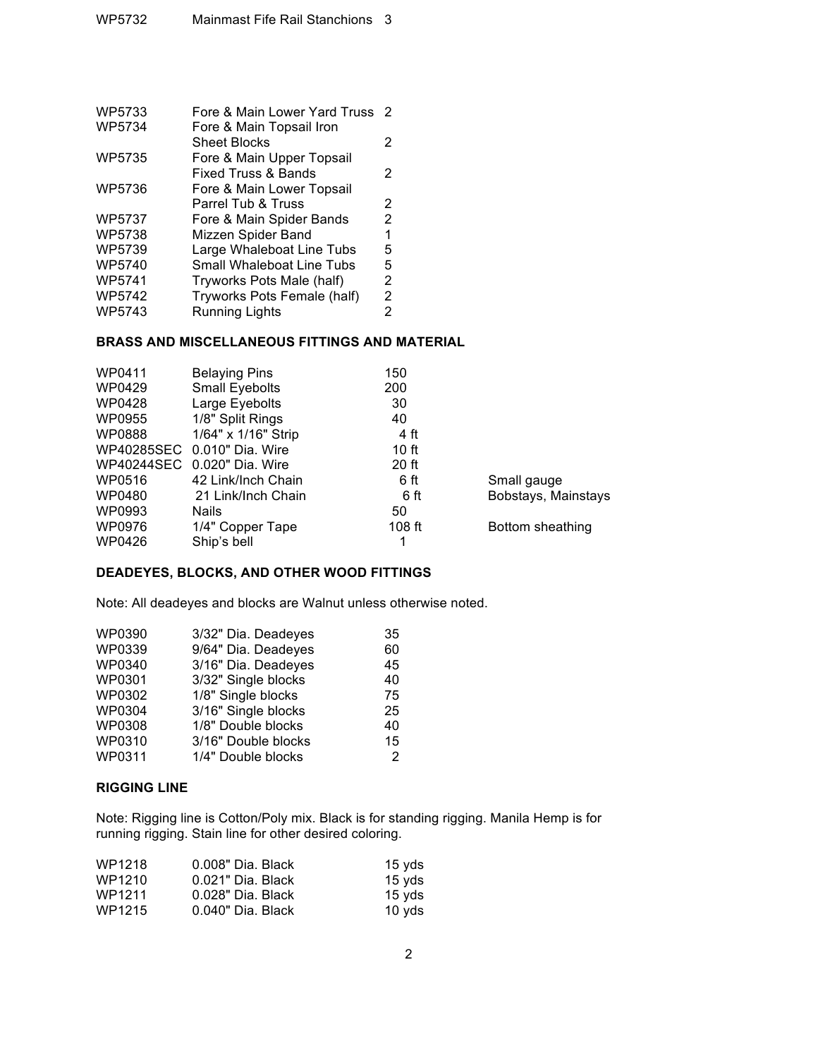| WP5733        | Fore & Main Lower Yard Truss   | 2 |
|---------------|--------------------------------|---|
| WP5734        | Fore & Main Topsail Iron       |   |
|               | <b>Sheet Blocks</b>            | 2 |
| WP5735        | Fore & Main Upper Topsail      |   |
|               | <b>Fixed Truss &amp; Bands</b> | 2 |
| <b>WP5736</b> | Fore & Main Lower Topsail      |   |
|               | Parrel Tub & Truss             | 2 |
| <b>WP5737</b> | Fore & Main Spider Bands       | 2 |
| <b>WP5738</b> | Mizzen Spider Band             | 1 |
| WP5739        | Large Whaleboat Line Tubs      | 5 |
| WP5740        | Small Whaleboat Line Tubs      | 5 |
| WP5741        | Tryworks Pots Male (half)      | 2 |
| WP5742        | Tryworks Pots Female (half)    | 2 |
| WP5743        | <b>Running Lights</b>          | 2 |
|               |                                |   |

### **BRASS AND MISCELLANEOUS FITTINGS AND MATERIAL**

| WP0411 | <b>Belaying Pins</b>        | 150     |                     |
|--------|-----------------------------|---------|---------------------|
| WP0429 | Small Eyebolts              | 200     |                     |
| WP0428 | Large Eyebolts              | 30      |                     |
| WP0955 | 1/8" Split Rings            | 40      |                     |
| WP0888 | 1/64" x 1/16" Strip         | 4 ft    |                     |
|        | WP40285SEC 0.010" Dia. Wire | 10 ft   |                     |
|        | WP40244SEC 0.020" Dia. Wire | $20$ ft |                     |
| WP0516 | 42 Link/Inch Chain          | 6 ft    | Small gauge         |
| WP0480 | 21 Link/Inch Chain          | 6 ft    | Bobstays, Mainstays |
| WP0993 | <b>Nails</b>                | 50      |                     |
| WP0976 | 1/4" Copper Tape            | 108 ft  | Bottom sheathing    |
| WP0426 | Ship's bell                 |         |                     |

#### **DEADEYES, BLOCKS, AND OTHER WOOD FITTINGS**

Note: All deadeyes and blocks are Walnut unless otherwise noted.

| 3/32" Dia. Deadeyes | 35 |
|---------------------|----|
| 9/64" Dia. Deadeyes | 60 |
| 3/16" Dia. Deadeyes | 45 |
| 3/32" Single blocks | 40 |
| 1/8" Single blocks  | 75 |
| 3/16" Single blocks | 25 |
| 1/8" Double blocks  | 40 |
| 3/16" Double blocks | 15 |
| 1/4" Double blocks  | 2  |
|                     |    |

#### **RIGGING LINE**

Note: Rigging line is Cotton/Poly mix. Black is for standing rigging. Manila Hemp is for running rigging. Stain line for other desired coloring.

| WP1218 | 0.008" Dia, Black | 15 yds           |
|--------|-------------------|------------------|
| WP1210 | 0.021" Dia. Black | 15 yds           |
| WP1211 | 0.028" Dia, Black | 15 vds           |
| WP1215 | 0.040" Dia. Black | $10 \text{ vds}$ |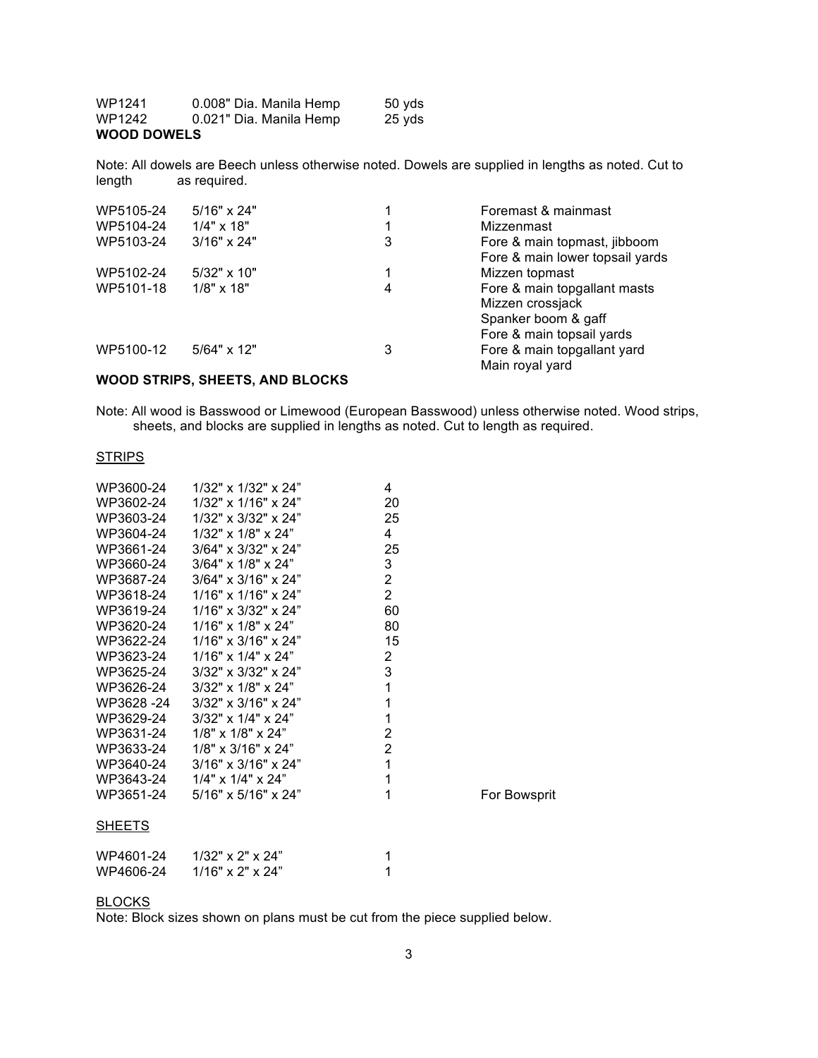| <b>WOOD DOWELS</b> |                         |        |
|--------------------|-------------------------|--------|
| WP1242             | 0.021" Dia. Manila Hemp | 25 vds |
| WP1241             | 0.008" Dia. Manila Hemp | 50 yds |

Note: All dowels are Beech unless otherwise noted. Dowels are supplied in lengths as noted. Cut to length as required.

| WP5105-24 | $5/16" \times 24"$ |   | Foremast & mainmast             |
|-----------|--------------------|---|---------------------------------|
| WP5104-24 | $1/4" \times 18"$  |   | Mizzenmast                      |
| WP5103-24 | $3/16" \times 24"$ | 3 | Fore & main topmast, jibboom    |
|           |                    |   | Fore & main lower topsail yards |
| WP5102-24 | $5/32" \times 10"$ |   | Mizzen topmast                  |
| WP5101-18 | $1/8" \times 18"$  | 4 | Fore & main topgallant masts    |
|           |                    |   | Mizzen crossjack                |
|           |                    |   | Spanker boom & gaff             |
|           |                    |   | Fore & main topsail yards       |
| WP5100-12 | $5/64$ " x 12"     | 3 | Fore & main topgallant yard     |
|           |                    |   | Main royal yard                 |

#### **WOOD STRIPS, SHEETS, AND BLOCKS**

Note: All wood is Basswood or Limewood (European Basswood) unless otherwise noted. Wood strips, sheets, and blocks are supplied in lengths as noted. Cut to length as required.

#### **STRIPS**

|                                 | 4                   |              |
|---------------------------------|---------------------|--------------|
| 1/32" x 1/16" x 24"             | 20                  |              |
| $1/32$ " x $3/32$ " x $24$ "    | 25                  |              |
| $1/32$ " x $1/8$ " x $24$ "     | 4                   |              |
| $3/64" \times 3/32" \times 24"$ | 25                  |              |
| $3/64"$ x $1/8"$ x $24"$        | 3                   |              |
| $3/64" \times 3/16" \times 24"$ | $\overline{2}$      |              |
| $1/16"$ x $1/16"$ x $24"$       | $\overline{2}$      |              |
| $1/16"$ x $3/32"$ x $24"$       | 60                  |              |
| $1/16"$ x $1/8"$ x $24"$        | 80                  |              |
| $1/16"$ x $3/16"$ x $24"$       | 15                  |              |
| $1/16"$ x $1/4"$ x $24"$        | $\overline{2}$      |              |
| $3/32$ " x $3/32$ " x $24$ "    | 3                   |              |
| $3/32$ " x $1/8$ " x $24$ "     | $\mathbf{1}$        |              |
| $3/32"$ x $3/16"$ x $24"$       | $\mathbf{1}$        |              |
| $3/32$ " x $1/4$ " x $24$ "     | $\mathbf{1}$        |              |
| $1/8$ " x $1/8$ " x $24$ "      | $\overline{2}$      |              |
| $1/8$ " x $3/16$ " x $24$ "     | $\overline{2}$      |              |
| $3/16"$ x $3/16"$ x $24"$       | 1                   |              |
| $1/4$ " x $1/4$ " x $24$ "      | 1                   |              |
| $5/16" \times 5/16" \times 24"$ | 1                   | For Bowsprit |
|                                 |                     |              |
| $1/32$ " x 2" x 24"             | 1                   |              |
| $1/16"$ x 2" x 24"              | 1                   |              |
|                                 | 1/32" x 1/32" x 24" |              |

#### **BLOCKS**

Note: Block sizes shown on plans must be cut from the piece supplied below.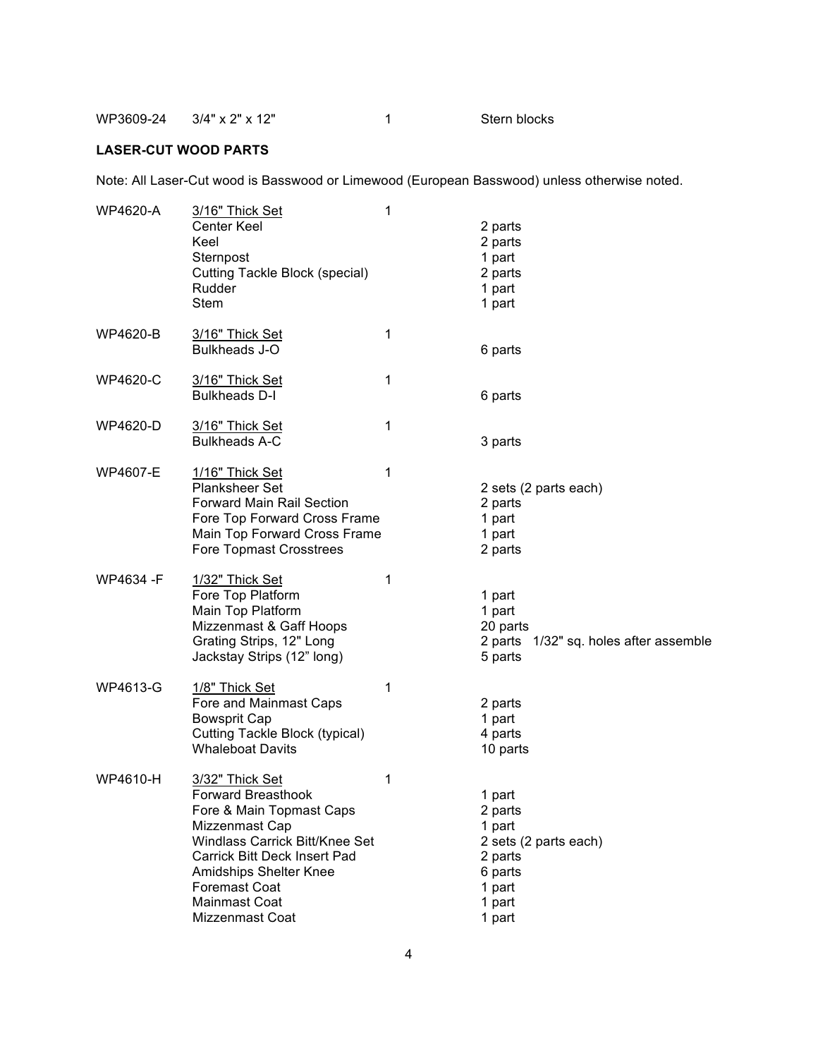WP3609-24 3/4" x 2" x 12" 1 Stern blocks

#### **LASER-CUT WOOD PARTS**

Note: All Laser-Cut wood is Basswood or Limewood (European Basswood) unless otherwise noted.

| <b>WP4620-A</b> | 3/16" Thick Set<br><b>Center Keel</b><br>Keel<br>Sternpost<br>Cutting Tackle Block (special)<br>Rudder<br><b>Stem</b>                                                                                                                                                   | 1 | 2 parts<br>2 parts<br>1 part<br>2 parts<br>1 part<br>1 part                                              |
|-----------------|-------------------------------------------------------------------------------------------------------------------------------------------------------------------------------------------------------------------------------------------------------------------------|---|----------------------------------------------------------------------------------------------------------|
| WP4620-B        | 3/16" Thick Set<br><b>Bulkheads J-O</b>                                                                                                                                                                                                                                 | 1 | 6 parts                                                                                                  |
| WP4620-C        | 3/16" Thick Set<br><b>Bulkheads D-I</b>                                                                                                                                                                                                                                 | 1 | 6 parts                                                                                                  |
| WP4620-D        | 3/16" Thick Set<br><b>Bulkheads A-C</b>                                                                                                                                                                                                                                 | 1 | 3 parts                                                                                                  |
| <b>WP4607-E</b> | 1/16" Thick Set<br><b>Planksheer Set</b><br><b>Forward Main Rail Section</b><br>Fore Top Forward Cross Frame<br>Main Top Forward Cross Frame<br><b>Fore Topmast Crosstrees</b>                                                                                          | 1 | 2 sets (2 parts each)<br>2 parts<br>1 part<br>1 part<br>2 parts                                          |
| WP4634 -F       | 1/32" Thick Set<br>Fore Top Platform<br>Main Top Platform<br>Mizzenmast & Gaff Hoops<br>Grating Strips, 12" Long<br>Jackstay Strips (12" long)                                                                                                                          | 1 | 1 part<br>1 part<br>20 parts<br>2 parts 1/32" sq. holes after assemble<br>5 parts                        |
| WP4613-G        | 1/8" Thick Set<br>Fore and Mainmast Caps<br><b>Bowsprit Cap</b><br><b>Cutting Tackle Block (typical)</b><br><b>Whaleboat Davits</b>                                                                                                                                     | 1 | 2 parts<br>1 part<br>4 parts<br>10 parts                                                                 |
| WP4610-H        | 3/32" Thick Set<br><b>Forward Breasthook</b><br>Fore & Main Topmast Caps<br>Mizzenmast Cap<br>Windlass Carrick Bitt/Knee Set<br><b>Carrick Bitt Deck Insert Pad</b><br><b>Amidships Shelter Knee</b><br><b>Foremast Coat</b><br><b>Mainmast Coat</b><br>Mizzenmast Coat | 1 | 1 part<br>2 parts<br>1 part<br>2 sets (2 parts each)<br>2 parts<br>6 parts<br>1 part<br>1 part<br>1 part |